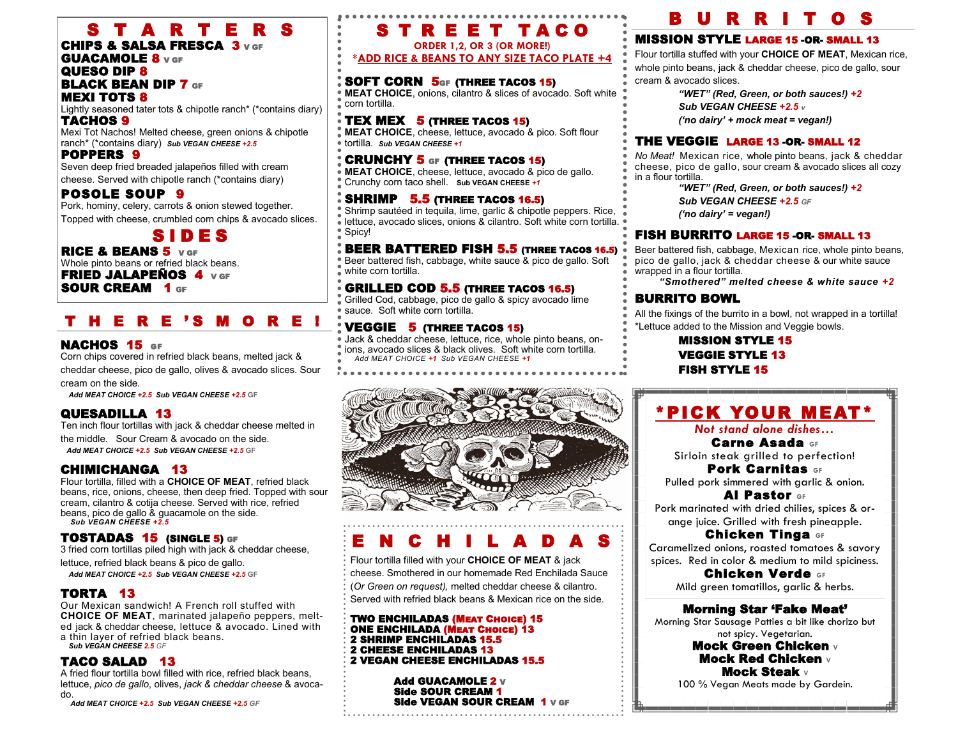## S T A R T E R S

### CHIPS & SALSA FRESCA 3 V GF GUACAMOLE 8 V GF

#### QUESO DIP 8 **BLACK BEAN DIP 7 GF** MEXI TOTS 8

Lightly seasoned tater tots & chipotle ranch\* (\*contains diary) TACHOS 9

Mexi Tot Nachos! Melted cheese, green onions & chipotle ranch\* (\*contains diary) *Sub VEGAN CHEESE +2.5* 

### POPPERS 9

Seven deep fried breaded jalapeños filled with cream cheese. Served with chipotle ranch (\*contains diary)

### POSOLE SOUP 9

Pork, hominy, celery, carrots & onion stewed together. Topped with cheese, crumbled corn chips & avocado slices.

## S I D E S

RICE & BEANS 5 V GF Whole pinto beans or refried black beans. FRIED JALAPEÑOS 4 V GF

SOUR CREAM 1 GF

### H E R E 'S M O R E !

### NACHOS 15 GF

Corn chips covered in refried black beans, melted jack & cheddar cheese, pico de gallo, olives & avocado slices. Sour cream on the side.

*Add MEAT CHOICE +2.5 Sub VEGAN CHEESE +2.5* **GF**

### QUESADILLA 13

Ten inch flour tortillas with jack & cheddar cheese melted in the middle. Sour Cream & avocado on the side. *Add MEAT CHOICE +2.5 Sub VEGAN CHEESE +2.5* **GF** 

### CHIMICHANGA 13

Flour tortilla, filled with a **CHOICE OF MEAT**, refried black beans, rice, onions, cheese, then deep fried. Topped with sour cream, cilantro & cotija cheese. Served with rice, refried beans, pico de gallo & guacamole on the side. *Sub VEGAN CHEESE +2.5* 

### TOSTADAS 15 (SINGLE 5) GF

3 fried corn tortillas piled high with jack & cheddar cheese, lettuce, refried black beans & pico de gallo.  *Add MEAT CHOICE +2.5 Sub VEGAN CHEESE +2.5* **GF** 

### TORTA 13

Our Mexican sandwich! A French roll stuffed with **CHOICE OF MEAT**, marinated jalapeño peppers, melted jack & cheddar cheese, lettuce & avocado. Lined with a thin layer of refried black beans.

*Sub VEGAN CHEESE 2.5 GF* 

### TACO SALAD 13

A fried flour tortilla bowl filled with rice, refried black beans, lettuce, *pico de gallo*, olives, *jack & cheddar cheese* & avocado.

 *Add MEAT CHOICE +2.5 Sub VEGAN CHEESE +2.5 GF* 

## S T R E E T TACO

**ORDER 1,2, OR 3 (OR MORE!) \*ADD RICE & BEANS TO ANY SIZE TACO PLATE +4**

### SOFT CORN 5GF (THREE TACOS 15)

**MEAT CHOICE**, onions, cilantro & slices of avocado. Soft white corn tortilla.

TEX MEX  $5$  (THREE TACOS 15)

**MEAT CHOICE**, cheese, lettuce, avocado & pico. Soft flour tortilla. *Sub VEGAN CHEESE +1* 

### CRUNCHY 5 GF (THREE TACOS 15)

**MEAT CHOICE**, cheese, lettuce, avocado & pico de gallo. Crunchy corn taco shell. **Sub VEGAN CHEESE** *+1* 

### $\ddot{\bullet}$  SHRIMP 5.5 (THREE TACOS 16.5)

Shrimp sautéed in tequila, lime, garlic & chipotle peppers. Rice,  $\bullet$  lettuce, avocado slices, onions & cilantro. Soft white corn tortilla. Spicy!

### **BEER BATTERED FISH 5.5 (THREE TACOS 16.5)**

Beer battered fish, cabbage, white sauce & pico de gallo. Soft white corn tortilla.

### GRILLED COD 5.5 (THREE TACOS 16.5)

Grilled Cod, cabbage, pico de gallo & spicy avocado lime sauce. Soft white corn tortilla.

### **VEGGIE 5 (THREE TACOS 15)**

Jack & cheddar cheese, lettuce, rice, whole pinto beans, on- $\overset{\bullet}{\rule{0pt}{0.5pt}}$  ions, avocado slices & black olives. Soft white corn tortilla.  *Add MEAT CHOICE +1 Sub VEGAN CHEESE +1* 



## E N C H I L A D A S

Flour tortilla filled with your **CHOICE OF MEAT** & jack cheese. Smothered in our homemade Red Enchilada Sauce (*Or Green on request),* melted cheddar cheese & cilantro. Served with refried black beans & Mexican rice on the side.

#### TWO ENCHILADAS (Meat Choice) 15 ONE ENCHILADA (MEAT CHOICE) 13 2 SHRIMP ENCHILADAS 15.5 2 CHEESE ENCHILADAS 13 2 VEGAN CHEESE ENCHILADAS 15.5

Add GUACAMOLE 2 v Side SOUR CREAM 1 Side VEGAN SOUR CREAM 1 V GF

## U R R I T

### MISSION STYLE LARGE 15 -OR- SMALL 13

Flour tortilla stuffed with your **CHOICE OF MEAT**, Mexican rice, whole pinto beans, jack & cheddar cheese, pico de gallo, sour cream & avocado slices.

> *"WET" (Red, Green, or both sauces!) +2 Sub VEGAN CHEESE +2.5 v ('no dairy' + mock meat = vegan!)*

### THE VEGGIE LARGE 13 -OR- SMALL 12

*No Meat!* Mexican rice, whole pinto beans, jack & cheddar cheese, pico de gallo, sour cream & avocado slices all cozy in a flour tortilla.

*"WET" (Red, Green, or both sauces!) +2 Sub VEGAN CHEESE +2.5 GF*

*('no dairy' = vegan!)*

### FISH BURRITO LARGE 15 -OR- SMALL 13

Beer battered fish, cabbage, Mexican rice, whole pinto beans, pico de gallo, jack & cheddar cheese & our white sauce wrapped in a flour tortilla.

*"Smothered" melted cheese & white sauce +2*

### BURRITO BOWL

All the fixings of the burrito in a bowl, not wrapped in a tortilla! \*Lettuce added to the Mission and Veggie bowls.

> MISSION STYLE 15 VEGGIE STYLE 13 FISH STYLE 15

## \*PICK YOUR MEAT\*

*Not stand alone dishes…*

Carne Asada **GF**

Sirloin steak arilled to perfection! Pork Carnitas **GF** 

Pulled pork simmered with garlic & onion. Al Pastor **GF**

Pork marinated with dried chilies, spices & orange juice. Grilled with fresh pineapple.

Chicken Tinga **GF**  Caramelized onions, roasted tomatoes & savory

spices. Red in color & medium to mild spiciness.

Chicken Verde **GF** Mild green tomatillos, garlic & herbs.

### Morning Star 'Fake Meat'

Morning Star Sausage Patties a bit like chorizo but not spicy. Vegetarian.

#### Mock Green Chicken **<sup>V</sup>** Mock Red Chicken **<sup>V</sup>** Mock Steak **<sup>V</sup>**

100 % Vegan Meats made by Gardein.